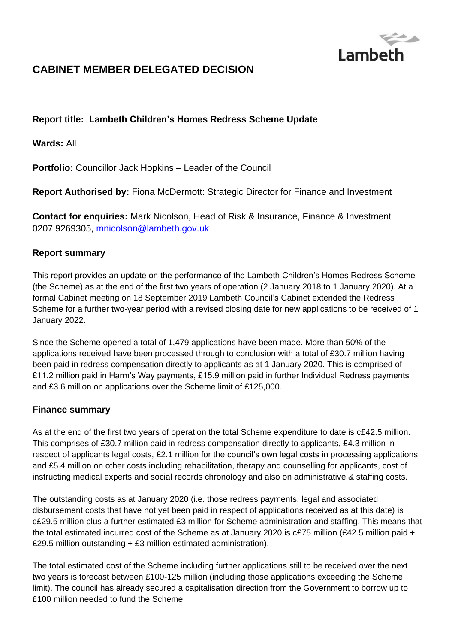

# **CABINET MEMBER DELEGATED DECISION**

# **Report title: Lambeth Children's Homes Redress Scheme Update**

**Wards:** All

**Portfolio:** Councillor Jack Hopkins – Leader of the Council

**Report Authorised by:** Fiona McDermott: Strategic Director for Finance and Investment

**Contact for enquiries:** Mark Nicolson, Head of Risk & Insurance, Finance & Investment 0207 9269305, [mnicolson@lambeth.gov.uk](mailto:mnicolson@lambeth.gov.uk)

#### **Report summary**

This report provides an update on the performance of the Lambeth Children's Homes Redress Scheme (the Scheme) as at the end of the first two years of operation (2 January 2018 to 1 January 2020). At a formal Cabinet meeting on 18 September 2019 Lambeth Council's Cabinet extended the Redress Scheme for a further two-year period with a revised closing date for new applications to be received of 1 January 2022.

Since the Scheme opened a total of 1,479 applications have been made. More than 50% of the applications received have been processed through to conclusion with a total of £30.7 million having been paid in redress compensation directly to applicants as at 1 January 2020. This is comprised of £11.2 million paid in Harm's Way payments, £15.9 million paid in further Individual Redress payments and £3.6 million on applications over the Scheme limit of £125,000.

#### **Finance summary**

As at the end of the first two years of operation the total Scheme expenditure to date is c£42.5 million. This comprises of £30.7 million paid in redress compensation directly to applicants, £4.3 million in respect of applicants legal costs, £2.1 million for the council's own legal costs in processing applications and £5.4 million on other costs including rehabilitation, therapy and counselling for applicants, cost of instructing medical experts and social records chronology and also on administrative & staffing costs.

The outstanding costs as at January 2020 (i.e. those redress payments, legal and associated disbursement costs that have not yet been paid in respect of applications received as at this date) is c£29.5 million plus a further estimated £3 million for Scheme administration and staffing. This means that the total estimated incurred cost of the Scheme as at January 2020 is c£75 million (£42.5 million paid + £29.5 million outstanding + £3 million estimated administration).

The total estimated cost of the Scheme including further applications still to be received over the next two years is forecast between £100-125 million (including those applications exceeding the Scheme limit). The council has already secured a capitalisation direction from the Government to borrow up to £100 million needed to fund the Scheme.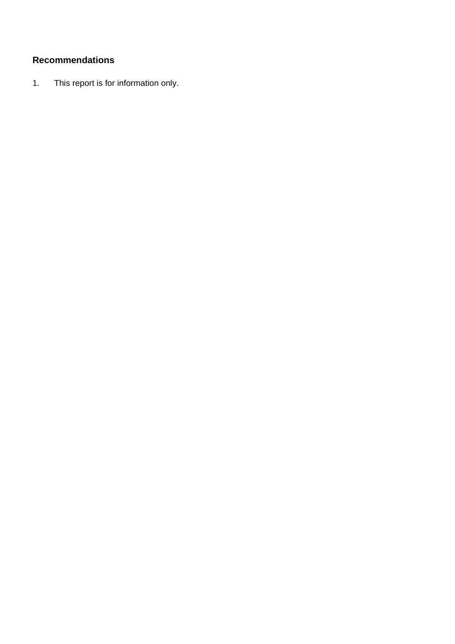# **Recommendations**

1. This report is for information only.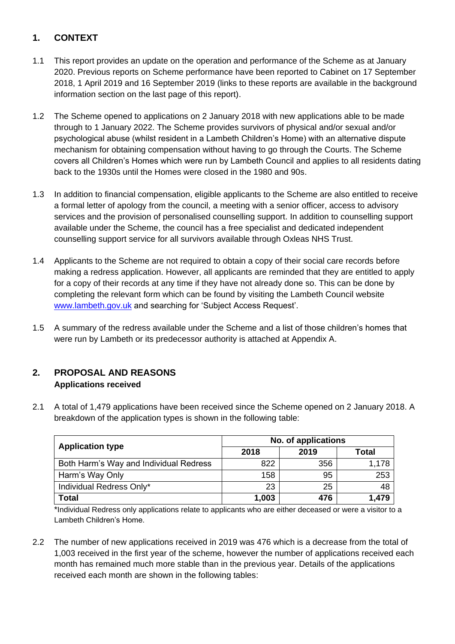# **1. CONTEXT**

- 1.1 This report provides an update on the operation and performance of the Scheme as at January 2020. Previous reports on Scheme performance have been reported to Cabinet on 17 September 2018, 1 April 2019 and 16 September 2019 (links to these reports are available in the background information section on the last page of this report).
- 1.2 The Scheme opened to applications on 2 January 2018 with new applications able to be made through to 1 January 2022. The Scheme provides survivors of physical and/or sexual and/or psychological abuse (whilst resident in a Lambeth Children's Home) with an alternative dispute mechanism for obtaining compensation without having to go through the Courts. The Scheme covers all Children's Homes which were run by Lambeth Council and applies to all residents dating back to the 1930s until the Homes were closed in the 1980 and 90s.
- 1.3 In addition to financial compensation, eligible applicants to the Scheme are also entitled to receive a formal letter of apology from the council, a meeting with a senior officer, access to advisory services and the provision of personalised counselling support. In addition to counselling support available under the Scheme, the council has a free specialist and dedicated independent counselling support service for all survivors available through Oxleas NHS Trust.
- 1.4 Applicants to the Scheme are not required to obtain a copy of their social care records before making a redress application. However, all applicants are reminded that they are entitled to apply for a copy of their records at any time if they have not already done so. This can be done by completing the relevant form which can be found by visiting the Lambeth Council website [www.lambeth.gov.uk](http://www.lambeth.gov.uk/) and searching for 'Subject Access Request'.
- 1.5 A summary of the redress available under the Scheme and a list of those children's homes that were run by Lambeth or its predecessor authority is attached at Appendix A.

# **2. PROPOSAL AND REASONS Applications received**

2.1 A total of 1,479 applications have been received since the Scheme opened on 2 January 2018. A breakdown of the application types is shown in the following table:

| <b>Application type</b>                | No. of applications |      |       |  |  |
|----------------------------------------|---------------------|------|-------|--|--|
|                                        | 2018                | 2019 | Total |  |  |
| Both Harm's Way and Individual Redress | 822                 | 356  | 1,178 |  |  |
| Harm's Way Only                        | 158                 | 95   | 253   |  |  |
| Individual Redress Only*               | 23                  | 25   | 48    |  |  |
| <b>Total</b>                           | 1,003               | 476  | 1.479 |  |  |

\*Individual Redress only applications relate to applicants who are either deceased or were a visitor to a Lambeth Children's Home.

2.2 The number of new applications received in 2019 was 476 which is a decrease from the total of 1,003 received in the first year of the scheme, however the number of applications received each month has remained much more stable than in the previous year. Details of the applications received each month are shown in the following tables: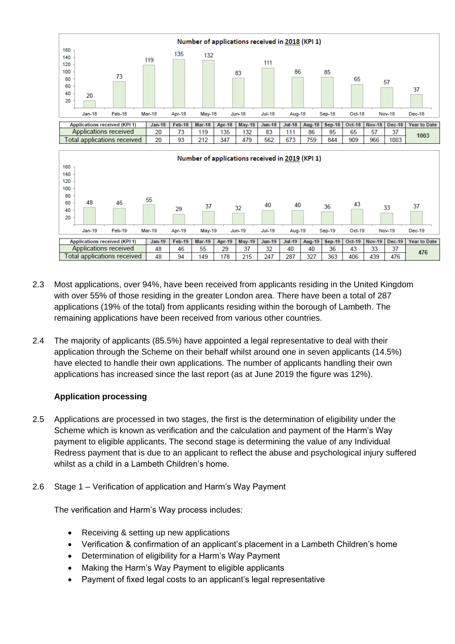

- 2.3 Most applications, over 94%, have been received from applicants residing in the United Kingdom with over 55% of those residing in the greater London area. There have been a total of 287 applications (19% of the total) from applicants residing within the borough of Lambeth. The remaining applications have been received from various other countries.
- 2.4 The majority of applicants (85.5%) have appointed a legal representative to deal with their application through the Scheme on their behalf whilst around one in seven applicants (14.5%) have elected to handle their own applications. The number of applicants handling their own applications has increased since the last report (as at June 2019 the figure was 12%).

#### **Application processing**

- 2.5 Applications are processed in two stages, the first is the determination of eligibility under the Scheme which is known as verification and the calculation and payment of the Harm's Way payment to eligible applicants. The second stage is determining the value of any Individual Redress payment that is due to an applicant to reflect the abuse and psychological injury suffered whilst as a child in a Lambeth Children's home.
- 2.6 Stage 1 Verification of application and Harm's Way Payment

The verification and Harm's Way process includes:

- Receiving & setting up new applications
- Verification & confirmation of an applicant's placement in a Lambeth Children's home
- Determination of eligibility for a Harm's Way Payment
- Making the Harm's Way Payment to eligible applicants
- Payment of fixed legal costs to an applicant's legal representative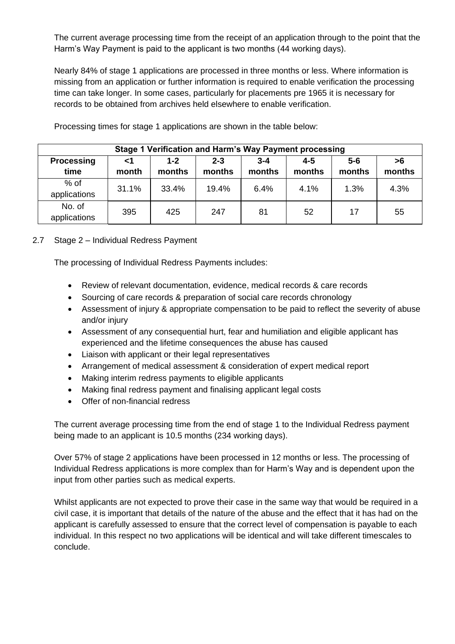The current average processing time from the receipt of an application through to the point that the Harm's Way Payment is paid to the applicant is two months (44 working days).

Nearly 84% of stage 1 applications are processed in three months or less. Where information is missing from an application or further information is required to enable verification the processing time can take longer. In some cases, particularly for placements pre 1965 it is necessary for records to be obtained from archives held elsewhere to enable verification.

| Stage 1 Verification and Harm's Way Payment processing |             |                   |                   |                   |                   |                 |              |  |
|--------------------------------------------------------|-------------|-------------------|-------------------|-------------------|-------------------|-----------------|--------------|--|
| <b>Processing</b><br>time                              | ا><br>month | $1 - 2$<br>months | $2 - 3$<br>months | $3 - 4$<br>months | $4 - 5$<br>months | $5-6$<br>months | >6<br>months |  |
| $%$ of<br>applications                                 | 31.1%       | 33.4%             | 19.4%             | 6.4%              | 4.1%              | 1.3%            | 4.3%         |  |
| No. of<br>applications                                 | 395         | 425               | 247               | 81                | 52                | 17              | 55           |  |

Processing times for stage 1 applications are shown in the table below:

## 2.7 Stage 2 – Individual Redress Payment

The processing of Individual Redress Payments includes:

- Review of relevant documentation, evidence, medical records & care records
- Sourcing of care records & preparation of social care records chronology
- Assessment of injury & appropriate compensation to be paid to reflect the severity of abuse and/or injury
- Assessment of any consequential hurt, fear and humiliation and eligible applicant has experienced and the lifetime consequences the abuse has caused
- Liaison with applicant or their legal representatives
- Arrangement of medical assessment & consideration of expert medical report
- Making interim redress payments to eligible applicants
- Making final redress payment and finalising applicant legal costs
- Offer of non-financial redress

The current average processing time from the end of stage 1 to the Individual Redress payment being made to an applicant is 10.5 months (234 working days).

Over 57% of stage 2 applications have been processed in 12 months or less. The processing of Individual Redress applications is more complex than for Harm's Way and is dependent upon the input from other parties such as medical experts.

Whilst applicants are not expected to prove their case in the same way that would be required in a civil case, it is important that details of the nature of the abuse and the effect that it has had on the applicant is carefully assessed to ensure that the correct level of compensation is payable to each individual. In this respect no two applications will be identical and will take different timescales to conclude.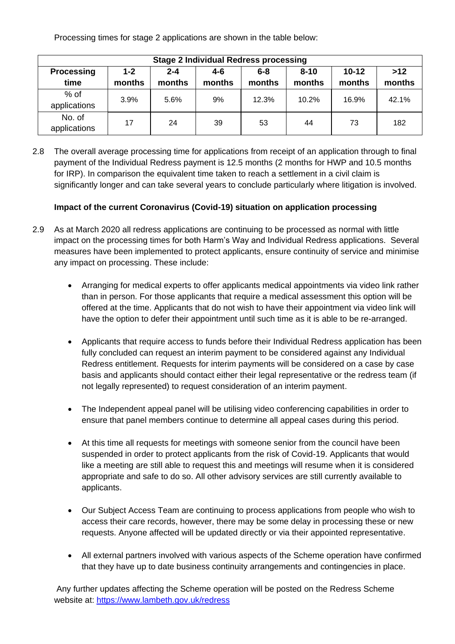Processing times for stage 2 applications are shown in the table below:

| <b>Stage 2 Individual Redress processing</b> |                   |                   |               |                   |                    |                   |                 |  |
|----------------------------------------------|-------------------|-------------------|---------------|-------------------|--------------------|-------------------|-----------------|--|
| <b>Processing</b><br>time                    | $1 - 2$<br>months | $2 - 4$<br>months | 4-6<br>months | $6 - 8$<br>months | $8 - 10$<br>months | $10-12$<br>months | $>12$<br>months |  |
| $%$ of<br>applications                       | 3.9%              | 5.6%              | 9%            | 12.3%             | 10.2%              | 16.9%             | 42.1%           |  |
| No. of<br>applications                       | 17                | 24                | 39            | 53                | 44                 | 73                | 182             |  |

2.8 The overall average processing time for applications from receipt of an application through to final payment of the Individual Redress payment is 12.5 months (2 months for HWP and 10.5 months for IRP). In comparison the equivalent time taken to reach a settlement in a civil claim is significantly longer and can take several years to conclude particularly where litigation is involved.

## **Impact of the current Coronavirus (Covid-19) situation on application processing**

- 2.9 As at March 2020 all redress applications are continuing to be processed as normal with little impact on the processing times for both Harm's Way and Individual Redress applications. Several measures have been implemented to protect applicants, ensure continuity of service and minimise any impact on processing. These include:
	- Arranging for medical experts to offer applicants medical appointments via video link rather than in person. For those applicants that require a medical assessment this option will be offered at the time. Applicants that do not wish to have their appointment via video link will have the option to defer their appointment until such time as it is able to be re-arranged.
	- Applicants that require access to funds before their Individual Redress application has been fully concluded can request an interim payment to be considered against any Individual Redress entitlement. Requests for interim payments will be considered on a case by case basis and applicants should contact either their legal representative or the redress team (if not legally represented) to request consideration of an interim payment.
	- The Independent appeal panel will be utilising video conferencing capabilities in order to ensure that panel members continue to determine all appeal cases during this period.
	- At this time all requests for meetings with someone senior from the council have been suspended in order to protect applicants from the risk of Covid-19. Applicants that would like a meeting are still able to request this and meetings will resume when it is considered appropriate and safe to do so. All other advisory services are still currently available to applicants.
	- Our Subject Access Team are continuing to process applications from people who wish to access their care records, however, there may be some delay in processing these or new requests. Anyone affected will be updated directly or via their appointed representative.
	- All external partners involved with various aspects of the Scheme operation have confirmed that they have up to date business continuity arrangements and contingencies in place.

Any further updates affecting the Scheme operation will be posted on the Redress Scheme website at:<https://www.lambeth.gov.uk/redress>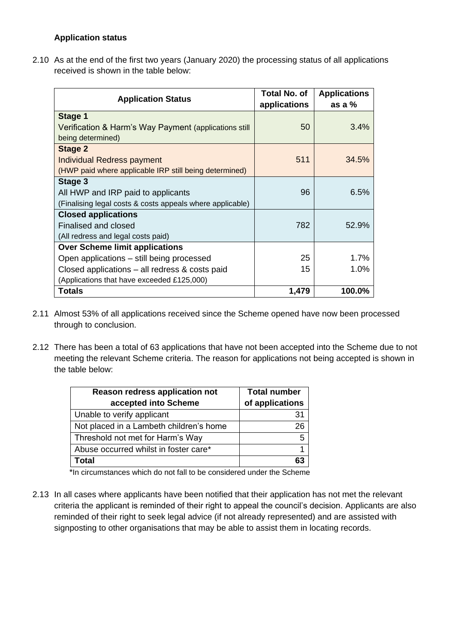#### **Application status**

2.10 As at the end of the first two years (January 2020) the processing status of all applications received is shown in the table below:

| <b>Application Status</b>                                 | Total No. of<br>applications | <b>Applications</b><br>as a $%$ |
|-----------------------------------------------------------|------------------------------|---------------------------------|
| Stage 1                                                   |                              |                                 |
| Verification & Harm's Way Payment (applications still     | 50                           | 3.4%                            |
| being determined)                                         |                              |                                 |
| Stage 2                                                   |                              |                                 |
| <b>Individual Redress payment</b>                         | 511                          | 34.5%                           |
| (HWP paid where applicable IRP still being determined)    |                              |                                 |
| Stage 3                                                   |                              |                                 |
| All HWP and IRP paid to applicants                        | 96                           | 6.5%                            |
| (Finalising legal costs & costs appeals where applicable) |                              |                                 |
| <b>Closed applications</b>                                |                              |                                 |
| Finalised and closed                                      | 782                          | 52.9%                           |
| (All redress and legal costs paid)                        |                              |                                 |
| <b>Over Scheme limit applications</b>                     |                              |                                 |
| Open applications – still being processed                 | 25                           | 1.7%                            |
| Closed applications – all redress & costs paid            | 15                           | 1.0%                            |
| (Applications that have exceeded £125,000)                |                              |                                 |
| Totals                                                    | 1,479                        | 100.0%                          |

- 2.11 Almost 53% of all applications received since the Scheme opened have now been processed through to conclusion.
- 2.12 There has been a total of 63 applications that have not been accepted into the Scheme due to not meeting the relevant Scheme criteria. The reason for applications not being accepted is shown in the table below:

| <b>Reason redress application not</b><br>accepted into Scheme | <b>Total number</b><br>of applications |
|---------------------------------------------------------------|----------------------------------------|
| Unable to verify applicant                                    | 31                                     |
| Not placed in a Lambeth children's home                       | 26                                     |
| Threshold not met for Harm's Way                              | 5                                      |
| Abuse occurred whilst in foster care*                         |                                        |
| Total                                                         |                                        |

\*In circumstances which do not fall to be considered under the Scheme

2.13 In all cases where applicants have been notified that their application has not met the relevant criteria the applicant is reminded of their right to appeal the council's decision. Applicants are also reminded of their right to seek legal advice (if not already represented) and are assisted with signposting to other organisations that may be able to assist them in locating records.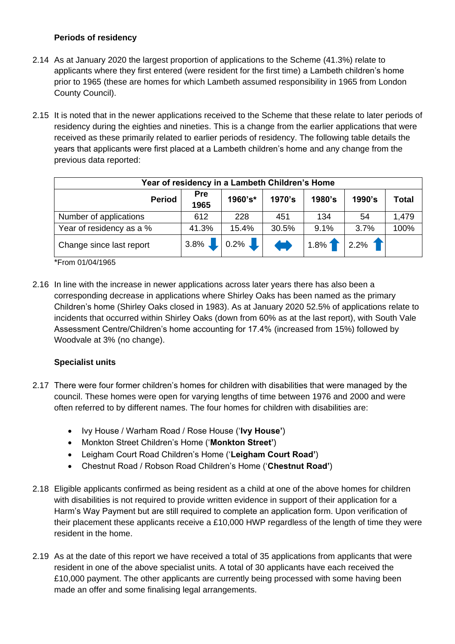#### **Periods of residency**

- 2.14 As at January 2020 the largest proportion of applications to the Scheme (41.3%) relate to applicants where they first entered (were resident for the first time) a Lambeth children's home prior to 1965 (these are homes for which Lambeth assumed responsibility in 1965 from London County Council).
- 2.15 It is noted that in the newer applications received to the Scheme that these relate to later periods of residency during the eighties and nineties. This is a change from the earlier applications that were received as these primarily related to earlier periods of residency. The following table details the years that applicants were first placed at a Lambeth children's home and any change from the previous data reported:

| Year of residency in a Lambeth Children's Home |             |         |        |         |        |              |  |
|------------------------------------------------|-------------|---------|--------|---------|--------|--------------|--|
| <b>Period</b>                                  | Pre<br>1965 | 1960's* | 1970's | 1980's  | 1990's | <b>Total</b> |  |
| Number of applications                         | 612         | 228     | 451    | 134     | 54     | 1,479        |  |
| Year of residency as a %                       | 41.3%       | 15.4%   | 30.5%  | 9.1%    | 3.7%   | 100%         |  |
| Change since last report                       | $3.8\%$     | $0.2\%$ |        | $1.8\%$ | 2.2%   |              |  |

\*From 01/04/1965

2.16 In line with the increase in newer applications across later years there has also been a corresponding decrease in applications where Shirley Oaks has been named as the primary Children's home (Shirley Oaks closed in 1983). As at January 2020 52.5% of applications relate to incidents that occurred within Shirley Oaks (down from 60% as at the last report), with South Vale Assessment Centre/Children's home accounting for 17.4% (increased from 15%) followed by Woodvale at 3% (no change).

#### **Specialist units**

- 2.17 There were four former children's homes for children with disabilities that were managed by the council. These homes were open for varying lengths of time between 1976 and 2000 and were often referred to by different names. The four homes for children with disabilities are:
	- Ivy House / Warham Road / Rose House ('**Ivy House'**)
	- Monkton Street Children's Home ('**Monkton Street'**)
	- Leigham Court Road Children's Home ('**Leigham Court Road'**)
	- Chestnut Road / Robson Road Children's Home ('**Chestnut Road'**)
- 2.18 Eligible applicants confirmed as being resident as a child at one of the above homes for children with disabilities is not required to provide written evidence in support of their application for a Harm's Way Payment but are still required to complete an application form. Upon verification of their placement these applicants receive a £10,000 HWP regardless of the length of time they were resident in the home.
- 2.19 As at the date of this report we have received a total of 35 applications from applicants that were resident in one of the above specialist units. A total of 30 applicants have each received the £10,000 payment. The other applicants are currently being processed with some having been made an offer and some finalising legal arrangements.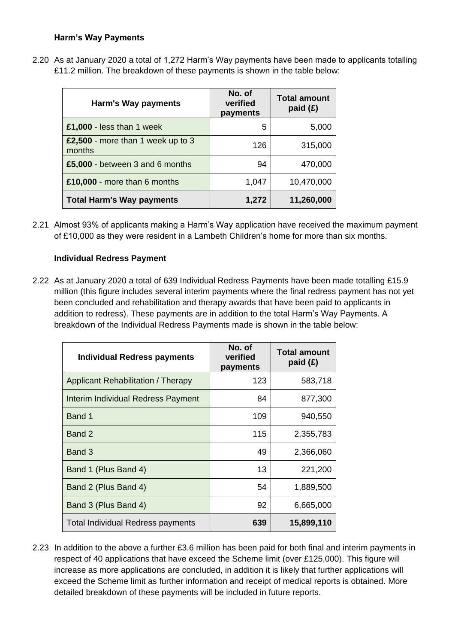#### **Harm's Way Payments**

2.20 As at January 2020 a total of 1,272 Harm's Way payments have been made to applicants totalling £11.2 million. The breakdown of these payments is shown in the table below:

| Harm's Way payments                         | No. of<br>verified<br>payments | <b>Total amount</b><br>paid $(E)$ |
|---------------------------------------------|--------------------------------|-----------------------------------|
| £1,000 - less than 1 week                   | 5                              | 5,000                             |
| £2,500 - more than 1 week up to 3<br>months | 126                            | 315,000                           |
| £5,000 - between 3 and 6 months             | 94                             | 470,000                           |
| £10,000 - more than 6 months                | 1,047                          | 10,470,000                        |
| <b>Total Harm's Way payments</b>            | 1,272                          | 11,260,000                        |

2.21 Almost 93% of applicants making a Harm's Way application have received the maximum payment of £10,000 as they were resident in a Lambeth Children's home for more than six months.

#### **Individual Redress Payment**

2.22 As at January 2020 a total of 639 Individual Redress Payments have been made totalling £15.9 million (this figure includes several interim payments where the final redress payment has not yet been concluded and rehabilitation and therapy awards that have been paid to applicants in addition to redress). These payments are in addition to the total Harm's Way Payments. A breakdown of the Individual Redress Payments made is shown in the table below:

| <b>Individual Redress payments</b> | No. of<br>verified<br>payments | <b>Total amount</b><br>paid $(E)$ |
|------------------------------------|--------------------------------|-----------------------------------|
| Applicant Rehabilitation / Therapy | 123                            | 583,718                           |
| Interim Individual Redress Payment | 84                             | 877,300                           |
| Band 1                             | 109                            | 940,550                           |
| Band 2                             | 115                            | 2,355,783                         |
| Band 3                             | 49                             | 2,366,060                         |
| Band 1 (Plus Band 4)               | 13                             | 221,200                           |
| Band 2 (Plus Band 4)               | 54                             | 1,889,500                         |
| Band 3 (Plus Band 4)               | 92                             | 6,665,000                         |
| Total Individual Redress payments  | 639                            | 15,899,110                        |

2.23 In addition to the above a further £3.6 million has been paid for both final and interim payments in respect of 40 applications that have exceed the Scheme limit (over £125,000). This figure will increase as more applications are concluded, in addition it is likely that further applications will exceed the Scheme limit as further information and receipt of medical reports is obtained. More detailed breakdown of these payments will be included in future reports.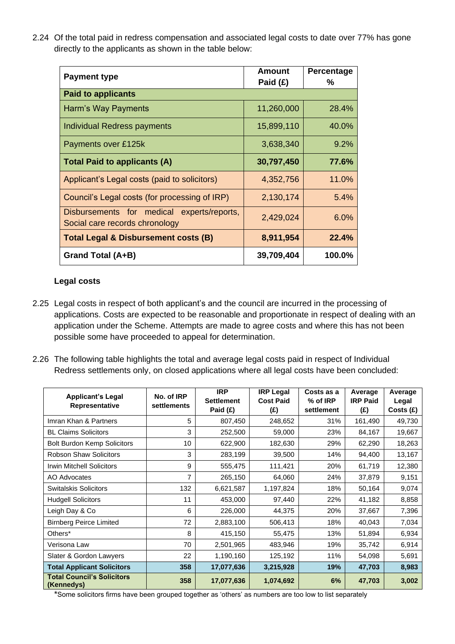2.24 Of the total paid in redress compensation and associated legal costs to date over 77% has gone directly to the applicants as shown in the table below:

| <b>Payment type</b>                                                          | Amount<br>Paid $(E)$ | Percentage<br>℅ |
|------------------------------------------------------------------------------|----------------------|-----------------|
| <b>Paid to applicants</b>                                                    |                      |                 |
| Harm's Way Payments                                                          | 11,260,000           | 28.4%           |
| Individual Redress payments                                                  | 15,899,110           | 40.0%           |
| Payments over £125k                                                          | 3,638,340            | 9.2%            |
| <b>Total Paid to applicants (A)</b>                                          | 30,797,450           | 77.6%           |
| Applicant's Legal costs (paid to solicitors)                                 | 4,352,756            | 11.0%           |
| Council's Legal costs (for processing of IRP)                                | 2,130,174            | 5.4%            |
| Disbursements for medical experts/reports,<br>Social care records chronology | 2,429,024            | $6.0\%$         |
| <b>Total Legal &amp; Disbursement costs (B)</b>                              | 8,911,954            | 22.4%           |
| Grand Total (A+B)                                                            | 39,709,404           | 100.0%          |

#### **Legal costs**

- 2.25 Legal costs in respect of both applicant's and the council are incurred in the processing of applications. Costs are expected to be reasonable and proportionate in respect of dealing with an application under the Scheme. Attempts are made to agree costs and where this has not been possible some have proceeded to appeal for determination.
- 2.26 The following table highlights the total and average legal costs paid in respect of Individual Redress settlements only, on closed applications where all legal costs have been concluded:

| <b>Applicant's Legal</b><br>Representative      | No. of IRP<br>settlements | <b>IRP</b><br><b>Settlement</b><br>Paid (£) | <b>IRP Legal</b><br><b>Cost Paid</b><br>(£) | Costs as a<br>% of IRP<br>settlement | Average<br><b>IRP Paid</b><br>(£) | Average<br>Legal<br>Costs (£) |
|-------------------------------------------------|---------------------------|---------------------------------------------|---------------------------------------------|--------------------------------------|-----------------------------------|-------------------------------|
| Imran Khan & Partners                           | 5                         | 807,450                                     | 248,652                                     | 31%                                  | 161,490                           | 49,730                        |
| <b>BL Claims Solicitors</b>                     | 3                         | 252,500                                     | 59,000                                      | 23%                                  | 84,167                            | 19,667                        |
| <b>Bolt Burdon Kemp Solicitors</b>              | 10                        | 622,900                                     | 182,630                                     | 29%                                  | 62,290                            | 18,263                        |
| <b>Robson Shaw Solicitors</b>                   | 3                         | 283,199                                     | 39,500                                      | 14%                                  | 94,400                            | 13,167                        |
| <b>Irwin Mitchell Solicitors</b>                | 9                         | 555,475                                     | 111,421                                     | 20%                                  | 61,719                            | 12,380                        |
| AO Advocates                                    | 7                         | 265,150                                     | 64,060                                      | 24%                                  | 37,879                            | 9,151                         |
| <b>Switalskis Solicitors</b>                    | 132                       | 6,621,587                                   | 1,197,824                                   | 18%                                  | 50,164                            | 9,074                         |
| <b>Hudgell Solicitors</b>                       | 11                        | 453,000                                     | 97,440                                      | 22%                                  | 41,182                            | 8,858                         |
| Leigh Day & Co                                  | 6                         | 226,000                                     | 44,375                                      | 20%                                  | 37,667                            | 7,396                         |
| <b>Birnberg Peirce Limited</b>                  | 72                        | 2,883,100                                   | 506,413                                     | 18%                                  | 40,043                            | 7,034                         |
| Others*                                         | 8                         | 415,150                                     | 55,475                                      | 13%                                  | 51,894                            | 6,934                         |
| Verisona Law                                    | 70                        | 2,501,965                                   | 483,946                                     | 19%                                  | 35,742                            | 6,914                         |
| Slater & Gordon Lawyers                         | 22                        | 1,190,160                                   | 125,192                                     | 11%                                  | 54,098                            | 5,691                         |
| <b>Total Applicant Solicitors</b>               | 358                       | 17,077,636                                  | 3,215,928                                   | 19%                                  | 47,703                            | 8,983                         |
| <b>Total Council's Solicitors</b><br>(Kennedys) | 358                       | 17,077,636                                  | 1,074,692                                   | 6%                                   | 47,703                            | 3,002                         |

\*Some solicitors firms have been grouped together as 'others' as numbers are too low to list separately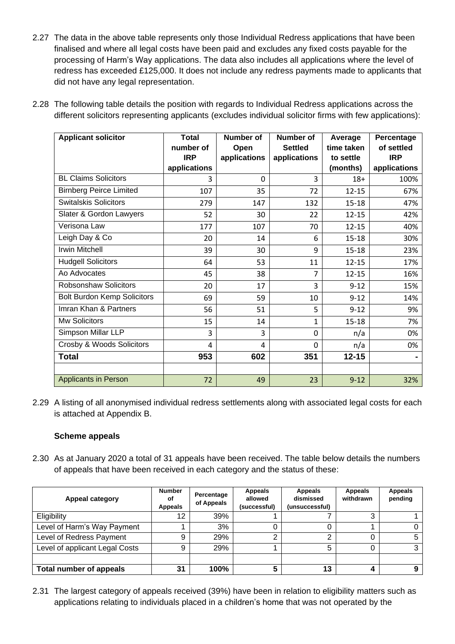- 2.27 The data in the above table represents only those Individual Redress applications that have been finalised and where all legal costs have been paid and excludes any fixed costs payable for the processing of Harm's Way applications. The data also includes all applications where the level of redress has exceeded £125,000. It does not include any redress payments made to applicants that did not have any legal representation.
- 2.28 The following table details the position with regards to Individual Redress applications across the different solicitors representing applicants (excludes individual solicitor firms with few applications):

| <b>Applicant solicitor</b>         | <b>Total</b><br>number of | Number of<br>Open | <b>Number of</b><br><b>Settled</b> | Average<br>time taken | Percentage<br>of settled |
|------------------------------------|---------------------------|-------------------|------------------------------------|-----------------------|--------------------------|
|                                    | <b>IRP</b>                | applications      | applications                       | to settle             | <b>IRP</b>               |
|                                    | applications              |                   |                                    | (months)              | applications             |
| <b>BL Claims Solicitors</b>        | 3                         | $\mathbf{0}$      | 3                                  | $18+$                 | 100%                     |
| <b>Birnberg Peirce Limited</b>     | 107                       | 35                | 72                                 | $12 - 15$             | 67%                      |
| <b>Switalskis Solicitors</b>       | 279                       | 147               | 132                                | $15 - 18$             | 47%                      |
| Slater & Gordon Lawyers            | 52                        | 30                | 22                                 | $12 - 15$             | 42%                      |
| Verisona Law                       | 177                       | 107               | 70                                 | $12 - 15$             | 40%                      |
| Leigh Day & Co                     | 20                        | 14                | 6                                  | $15 - 18$             | 30%                      |
| <b>Irwin Mitchell</b>              | 39                        | 30                | 9                                  | $15 - 18$             | 23%                      |
| <b>Hudgell Solicitors</b>          | 64                        | 53                | 11                                 | $12 - 15$             | 17%                      |
| Ao Advocates                       | 45                        | 38                | 7                                  | $12 - 15$             | 16%                      |
| <b>Robsonshaw Solicitors</b>       | 20                        | 17                | 3                                  | $9 - 12$              | 15%                      |
| <b>Bolt Burdon Kemp Solicitors</b> | 69                        | 59                | 10                                 | $9 - 12$              | 14%                      |
| Imran Khan & Partners              | 56                        | 51                | 5                                  | $9 - 12$              | 9%                       |
| Mw Solicitors                      | 15                        | 14                | $\mathbf{1}$                       | $15 - 18$             | 7%                       |
| Simpson Millar LLP                 | 3                         | 3                 | 0                                  | n/a                   | 0%                       |
| Crosby & Woods Solicitors          | 4                         | 4                 | $\Omega$                           | n/a                   | 0%                       |
| <b>Total</b>                       | 953                       | 602               | 351                                | $12 - 15$             |                          |
|                                    |                           |                   |                                    |                       |                          |
| <b>Applicants in Person</b>        | 72                        | 49                | 23                                 | $9 - 12$              | 32%                      |

2.29 A listing of all anonymised individual redress settlements along with associated legal costs for each is attached at Appendix B.

#### **Scheme appeals**

2.30 As at January 2020 a total of 31 appeals have been received. The table below details the numbers of appeals that have been received in each category and the status of these:

| <b>Appeal category</b>         | <b>Number</b><br>οf<br><b>Appeals</b> | Percentage<br>of Appeals | Appeals<br>allowed<br>(successful) | Appeals<br>dismissed<br>(unsuccessful) | <b>Appeals</b><br>withdrawn | Appeals<br>pending |
|--------------------------------|---------------------------------------|--------------------------|------------------------------------|----------------------------------------|-----------------------------|--------------------|
| Eligibility                    | 12                                    | 39%                      |                                    |                                        | ົ                           |                    |
| Level of Harm's Way Payment    |                                       | 3%                       |                                    |                                        |                             |                    |
| Level of Redress Payment       | 9                                     | 29%                      | ົ                                  | ົ                                      |                             | 5                  |
| Level of applicant Legal Costs | 9                                     | 29%                      |                                    |                                        |                             |                    |
|                                |                                       |                          |                                    |                                        |                             |                    |
| <b>Total number of appeals</b> | 31                                    | 100%                     |                                    | 13                                     |                             |                    |

2.31 The largest category of appeals received (39%) have been in relation to eligibility matters such as applications relating to individuals placed in a children's home that was not operated by the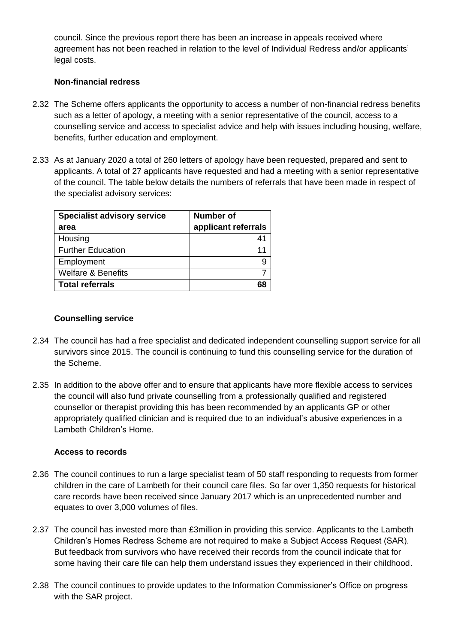council. Since the previous report there has been an increase in appeals received where agreement has not been reached in relation to the level of Individual Redress and/or applicants' legal costs.

#### **Non-financial redress**

- 2.32 The Scheme offers applicants the opportunity to access a number of non-financial redress benefits such as a letter of apology, a meeting with a senior representative of the council, access to a counselling service and access to specialist advice and help with issues including housing, welfare, benefits, further education and employment.
- 2.33 As at January 2020 a total of 260 letters of apology have been requested, prepared and sent to applicants. A total of 27 applicants have requested and had a meeting with a senior representative of the council. The table below details the numbers of referrals that have been made in respect of the specialist advisory services:

| <b>Specialist advisory service</b> | Number of           |
|------------------------------------|---------------------|
| area                               | applicant referrals |
| Housing                            | 41                  |
| <b>Further Education</b>           | 11                  |
| Employment                         | 9                   |
| Welfare & Benefits                 |                     |
| <b>Total referrals</b>             |                     |

#### **Counselling service**

- 2.34 The council has had a free specialist and dedicated independent counselling support service for all survivors since 2015. The council is continuing to fund this counselling service for the duration of the Scheme.
- 2.35 In addition to the above offer and to ensure that applicants have more flexible access to services the council will also fund private counselling from a professionally qualified and registered counsellor or therapist providing this has been recommended by an applicants GP or other appropriately qualified clinician and is required due to an individual's abusive experiences in a Lambeth Children's Home.

#### **Access to records**

- 2.36 The council continues to run a large specialist team of 50 staff responding to requests from former children in the care of Lambeth for their council care files. So far over 1,350 requests for historical care records have been received since January 2017 which is an unprecedented number and equates to over 3,000 volumes of files.
- 2.37 The council has invested more than £3million in providing this service. Applicants to the Lambeth Children's Homes Redress Scheme are not required to make a Subject Access Request (SAR). But feedback from survivors who have received their records from the council indicate that for some having their care file can help them understand issues they experienced in their childhood.
- 2.38 The council continues to provide updates to the Information Commissioner's Office on progress with the SAR project.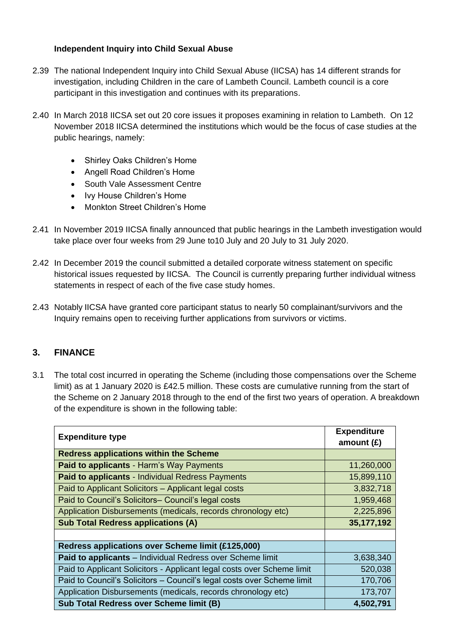## **Independent Inquiry into Child Sexual Abuse**

- 2.39 The national Independent Inquiry into Child Sexual Abuse (IICSA) has 14 different strands for investigation, including Children in the care of Lambeth Council. Lambeth council is a core participant in this investigation and continues with its preparations.
- 2.40 In March 2018 IICSA set out 20 core issues it proposes examining in relation to Lambeth. On 12 November 2018 IICSA determined the institutions which would be the focus of case studies at the public hearings, namely:
	- Shirley Oaks Children's Home
	- Angell Road Children's Home
	- South Vale Assessment Centre
	- Ivy House Children's Home
	- Monkton Street Children's Home
- 2.41 In November 2019 IICSA finally announced that public hearings in the Lambeth investigation would take place over four weeks from 29 June to10 July and 20 July to 31 July 2020.
- 2.42 In December 2019 the council submitted a detailed corporate witness statement on specific historical issues requested by IICSA. The Council is currently preparing further individual witness statements in respect of each of the five case study homes.
- 2.43 Notably IICSA have granted core participant status to nearly 50 complainant/survivors and the Inquiry remains open to receiving further applications from survivors or victims.

# **3. FINANCE**

3.1 The total cost incurred in operating the Scheme (including those compensations over the Scheme limit) as at 1 January 2020 is £42.5 million. These costs are cumulative running from the start of the Scheme on 2 January 2018 through to the end of the first two years of operation. A breakdown of the expenditure is shown in the following table:

| <b>Expenditure type</b>                                                | <b>Expenditure</b><br>amount $(E)$ |  |
|------------------------------------------------------------------------|------------------------------------|--|
| <b>Redress applications within the Scheme</b>                          |                                    |  |
| Paid to applicants - Harm's Way Payments                               | 11,260,000                         |  |
| Paid to applicants - Individual Redress Payments                       | 15,899,110                         |  |
| Paid to Applicant Solicitors - Applicant legal costs                   | 3,832,718                          |  |
| Paid to Council's Solicitors- Council's legal costs                    | 1,959,468                          |  |
| Application Disbursements (medicals, records chronology etc)           | 2,225,896                          |  |
| <b>Sub Total Redress applications (A)</b>                              | 35,177,192                         |  |
|                                                                        |                                    |  |
| Redress applications over Scheme limit (£125,000)                      |                                    |  |
| Paid to applicants - Individual Redress over Scheme limit              | 3,638,340                          |  |
| Paid to Applicant Solicitors - Applicant legal costs over Scheme limit | 520,038                            |  |
| Paid to Council's Solicitors - Council's legal costs over Scheme limit | 170,706                            |  |
| Application Disbursements (medicals, records chronology etc)           | 173,707                            |  |
| <b>Sub Total Redress over Scheme limit (B)</b>                         | 4,502,791                          |  |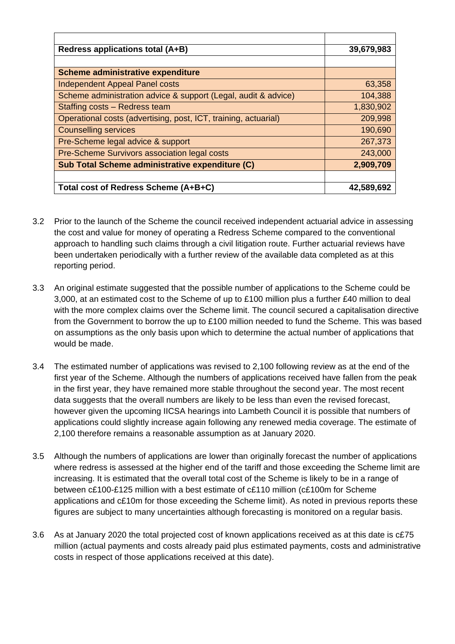| Redress applications total (A+B)                                | 39,679,983 |
|-----------------------------------------------------------------|------------|
|                                                                 |            |
| Scheme administrative expenditure                               |            |
| <b>Independent Appeal Panel costs</b>                           | 63,358     |
| Scheme administration advice & support (Legal, audit & advice)  | 104,388    |
| Staffing costs - Redress team                                   | 1,830,902  |
| Operational costs (advertising, post, ICT, training, actuarial) | 209,998    |
| <b>Counselling services</b>                                     | 190,690    |
| Pre-Scheme legal advice & support                               | 267,373    |
| Pre-Scheme Survivors association legal costs                    | 243,000    |
| Sub Total Scheme administrative expenditure (C)                 | 2,909,709  |
|                                                                 |            |
| Total cost of Redress Scheme (A+B+C)                            | 42,589,692 |

- 3.2 Prior to the launch of the Scheme the council received independent actuarial advice in assessing the cost and value for money of operating a Redress Scheme compared to the conventional approach to handling such claims through a civil litigation route. Further actuarial reviews have been undertaken periodically with a further review of the available data completed as at this reporting period.
- 3.3 An original estimate suggested that the possible number of applications to the Scheme could be 3,000, at an estimated cost to the Scheme of up to £100 million plus a further £40 million to deal with the more complex claims over the Scheme limit. The council secured a capitalisation directive from the Government to borrow the up to £100 million needed to fund the Scheme. This was based on assumptions as the only basis upon which to determine the actual number of applications that would be made.
- 3.4 The estimated number of applications was revised to 2,100 following review as at the end of the first year of the Scheme. Although the numbers of applications received have fallen from the peak in the first year, they have remained more stable throughout the second year. The most recent data suggests that the overall numbers are likely to be less than even the revised forecast, however given the upcoming IICSA hearings into Lambeth Council it is possible that numbers of applications could slightly increase again following any renewed media coverage. The estimate of 2,100 therefore remains a reasonable assumption as at January 2020.
- 3.5 Although the numbers of applications are lower than originally forecast the number of applications where redress is assessed at the higher end of the tariff and those exceeding the Scheme limit are increasing. It is estimated that the overall total cost of the Scheme is likely to be in a range of between c£100-£125 million with a best estimate of c£110 million (c£100m for Scheme applications and c£10m for those exceeding the Scheme limit). As noted in previous reports these figures are subject to many uncertainties although forecasting is monitored on a regular basis.
- 3.6 As at January 2020 the total projected cost of known applications received as at this date is c£75 million (actual payments and costs already paid plus estimated payments, costs and administrative costs in respect of those applications received at this date).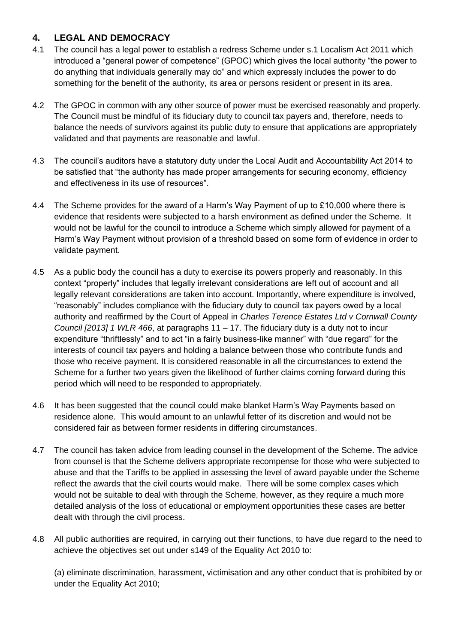# **4. LEGAL AND DEMOCRACY**

- 4.1 The council has a legal power to establish a redress Scheme under s.1 Localism Act 2011 which introduced a "general power of competence" (GPOC) which gives the local authority "the power to do anything that individuals generally may do" and which expressly includes the power to do something for the benefit of the authority, its area or persons resident or present in its area.
- 4.2 The GPOC in common with any other source of power must be exercised reasonably and properly. The Council must be mindful of its fiduciary duty to council tax payers and, therefore, needs to balance the needs of survivors against its public duty to ensure that applications are appropriately validated and that payments are reasonable and lawful.
- 4.3 The council's auditors have a statutory duty under the Local Audit and Accountability Act 2014 to be satisfied that "the authority has made proper arrangements for securing economy, efficiency and effectiveness in its use of resources".
- 4.4 The Scheme provides for the award of a Harm's Way Payment of up to £10,000 where there is evidence that residents were subjected to a harsh environment as defined under the Scheme. It would not be lawful for the council to introduce a Scheme which simply allowed for payment of a Harm's Way Payment without provision of a threshold based on some form of evidence in order to validate payment.
- 4.5 As a public body the council has a duty to exercise its powers properly and reasonably. In this context "properly" includes that legally irrelevant considerations are left out of account and all legally relevant considerations are taken into account. Importantly, where expenditure is involved, "reasonably" includes compliance with the fiduciary duty to council tax payers owed by a local authority and reaffirmed by the Court of Appeal in *Charles Terence Estates Ltd v Cornwall County Council [2013] 1 WLR 466*, at paragraphs 11 – 17. The fiduciary duty is a duty not to incur expenditure "thriftlessly" and to act "in a fairly business-like manner" with "due regard" for the interests of council tax payers and holding a balance between those who contribute funds and those who receive payment. It is considered reasonable in all the circumstances to extend the Scheme for a further two years given the likelihood of further claims coming forward during this period which will need to be responded to appropriately.
- 4.6 It has been suggested that the council could make blanket Harm's Way Payments based on residence alone. This would amount to an unlawful fetter of its discretion and would not be considered fair as between former residents in differing circumstances.
- 4.7 The council has taken advice from leading counsel in the development of the Scheme. The advice from counsel is that the Scheme delivers appropriate recompense for those who were subjected to abuse and that the Tariffs to be applied in assessing the level of award payable under the Scheme reflect the awards that the civil courts would make. There will be some complex cases which would not be suitable to deal with through the Scheme, however, as they require a much more detailed analysis of the loss of educational or employment opportunities these cases are better dealt with through the civil process.
- 4.8 All public authorities are required, in carrying out their functions, to have due regard to the need to achieve the objectives set out under s149 of the Equality Act 2010 to:

(a) eliminate discrimination, harassment, victimisation and any other conduct that is prohibited by or under the Equality Act 2010;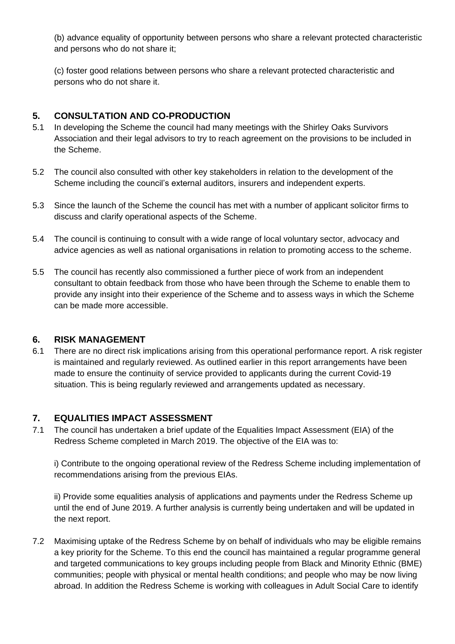(b) advance equality of opportunity between persons who share a relevant protected characteristic and persons who do not share it;

(c) foster good relations between persons who share a relevant protected characteristic and persons who do not share it.

# **5. CONSULTATION AND CO-PRODUCTION**

- 5.1 In developing the Scheme the council had many meetings with the Shirley Oaks Survivors Association and their legal advisors to try to reach agreement on the provisions to be included in the Scheme.
- 5.2 The council also consulted with other key stakeholders in relation to the development of the Scheme including the council's external auditors, insurers and independent experts.
- 5.3 Since the launch of the Scheme the council has met with a number of applicant solicitor firms to discuss and clarify operational aspects of the Scheme.
- 5.4 The council is continuing to consult with a wide range of local voluntary sector, advocacy and advice agencies as well as national organisations in relation to promoting access to the scheme.
- 5.5 The council has recently also commissioned a further piece of work from an independent consultant to obtain feedback from those who have been through the Scheme to enable them to provide any insight into their experience of the Scheme and to assess ways in which the Scheme can be made more accessible.

#### **6. RISK MANAGEMENT**

6.1 There are no direct risk implications arising from this operational performance report. A risk register is maintained and regularly reviewed. As outlined earlier in this report arrangements have been made to ensure the continuity of service provided to applicants during the current Covid-19 situation. This is being regularly reviewed and arrangements updated as necessary.

#### **7. EQUALITIES IMPACT ASSESSMENT**

7.1 The council has undertaken a brief update of the Equalities Impact Assessment (EIA) of the Redress Scheme completed in March 2019. The objective of the EIA was to:

i) Contribute to the ongoing operational review of the Redress Scheme including implementation of recommendations arising from the previous EIAs.

ii) Provide some equalities analysis of applications and payments under the Redress Scheme up until the end of June 2019. A further analysis is currently being undertaken and will be updated in the next report.

7.2 Maximising uptake of the Redress Scheme by on behalf of individuals who may be eligible remains a key priority for the Scheme. To this end the council has maintained a regular programme general and targeted communications to key groups including people from Black and Minority Ethnic (BME) communities; people with physical or mental health conditions; and people who may be now living abroad. In addition the Redress Scheme is working with colleagues in Adult Social Care to identify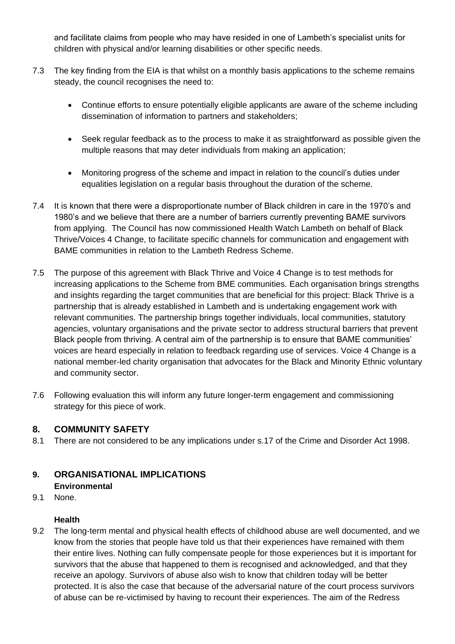and facilitate claims from people who may have resided in one of Lambeth's specialist units for children with physical and/or learning disabilities or other specific needs.

- 7.3 The key finding from the EIA is that whilst on a monthly basis applications to the scheme remains steady, the council recognises the need to:
	- Continue efforts to ensure potentially eligible applicants are aware of the scheme including dissemination of information to partners and stakeholders;
	- Seek regular feedback as to the process to make it as straightforward as possible given the multiple reasons that may deter individuals from making an application;
	- Monitoring progress of the scheme and impact in relation to the council's duties under equalities legislation on a regular basis throughout the duration of the scheme.
- 7.4 It is known that there were a disproportionate number of Black children in care in the 1970's and 1980's and we believe that there are a number of barriers currently preventing BAME survivors from applying. The Council has now commissioned Health Watch Lambeth on behalf of Black Thrive/Voices 4 Change, to facilitate specific channels for communication and engagement with BAME communities in relation to the Lambeth Redress Scheme.
- 7.5 The purpose of this agreement with Black Thrive and Voice 4 Change is to test methods for increasing applications to the Scheme from BME communities. Each organisation brings strengths and insights regarding the target communities that are beneficial for this project: Black Thrive is a partnership that is already established in Lambeth and is undertaking engagement work with relevant communities. The partnership brings together individuals, local communities, statutory agencies, voluntary organisations and the private sector to address structural barriers that prevent Black people from thriving. A central aim of the partnership is to ensure that BAME communities' voices are heard especially in relation to feedback regarding use of services. Voice 4 Change is a national member-led charity organisation that advocates for the Black and Minority Ethnic voluntary and community sector.
- 7.6 Following evaluation this will inform any future longer-term engagement and commissioning strategy for this piece of work.

# **8. COMMUNITY SAFETY**

8.1 There are not considered to be any implications under s.17 of the Crime and Disorder Act 1998.

# **9. ORGANISATIONAL IMPLICATIONS**

# **Environmental**

9.1 None.

# **Health**

9.2 The long-term mental and physical health effects of childhood abuse are well documented, and we know from the stories that people have told us that their experiences have remained with them their entire lives. Nothing can fully compensate people for those experiences but it is important for survivors that the abuse that happened to them is recognised and acknowledged, and that they receive an apology. Survivors of abuse also wish to know that children today will be better protected. It is also the case that because of the adversarial nature of the court process survivors of abuse can be re-victimised by having to recount their experiences. The aim of the Redress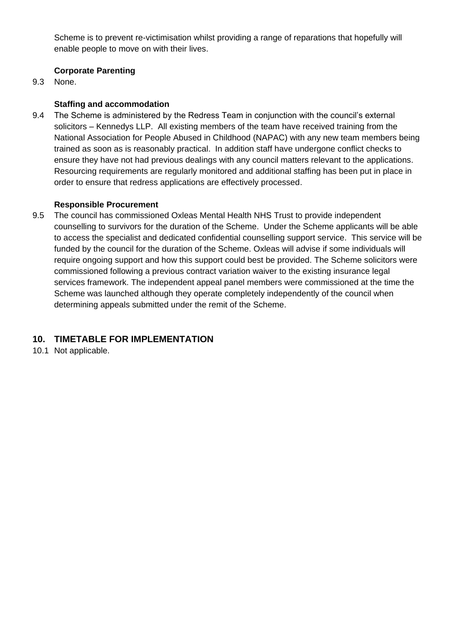Scheme is to prevent re-victimisation whilst providing a range of reparations that hopefully will enable people to move on with their lives.

## **Corporate Parenting**

9.3 None.

## **Staffing and accommodation**

9.4 The Scheme is administered by the Redress Team in conjunction with the council's external solicitors – Kennedys LLP. All existing members of the team have received training from the National Association for People Abused in Childhood (NAPAC) with any new team members being trained as soon as is reasonably practical. In addition staff have undergone conflict checks to ensure they have not had previous dealings with any council matters relevant to the applications. Resourcing requirements are regularly monitored and additional staffing has been put in place in order to ensure that redress applications are effectively processed.

#### **Responsible Procurement**

9.5 The council has commissioned Oxleas Mental Health NHS Trust to provide independent counselling to survivors for the duration of the Scheme. Under the Scheme applicants will be able to access the specialist and dedicated confidential counselling support service. This service will be funded by the council for the duration of the Scheme. Oxleas will advise if some individuals will require ongoing support and how this support could best be provided. The Scheme solicitors were commissioned following a previous contract variation waiver to the existing insurance legal services framework. The independent appeal panel members were commissioned at the time the Scheme was launched although they operate completely independently of the council when determining appeals submitted under the remit of the Scheme.

# **10. TIMETABLE FOR IMPLEMENTATION**

10.1 Not applicable.